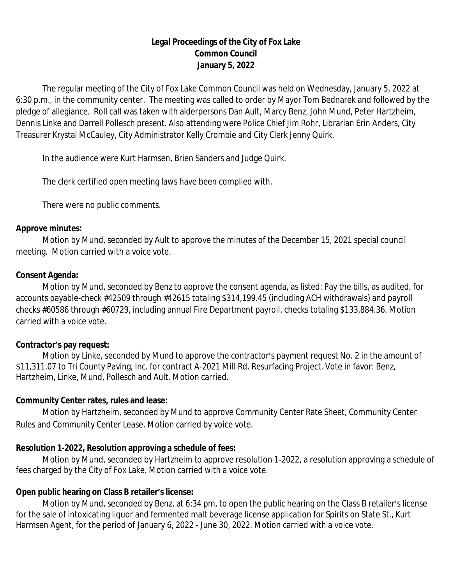# **Legal Proceedings of the City of Fox Lake Common Council January 5, 2022**

The regular meeting of the City of Fox Lake Common Council was held on Wednesday, January 5, 2022 at 6:30 p.m., in the community center. The meeting was called to order by Mayor Tom Bednarek and followed by the pledge of allegiance. Roll call was taken with alderpersons Dan Ault, Marcy Benz, John Mund, Peter Hartzheim, Dennis Linke and Darrell Pollesch present. Also attending were Police Chief Jim Rohr, Librarian Erin Anders, City Treasurer Krystal McCauley, City Administrator Kelly Crombie and City Clerk Jenny Quirk.

In the audience were Kurt Harmsen, Brien Sanders and Judge Quirk.

The clerk certified open meeting laws have been complied with.

There were no public comments.

#### **Approve minutes:**

Motion by Mund, seconded by Ault to approve the minutes of the December 15, 2021 special council meeting. Motion carried with a voice vote.

# **Consent Agenda:**

Motion by Mund, seconded by Benz to approve the consent agenda, as listed: Pay the bills, as audited, for accounts payable-check #42509 through #42615 totaling \$314,199.45 (including ACH withdrawals) and payroll checks #60586 through #60729, including annual Fire Department payroll, checks totaling \$133,884.36. Motion carried with a voice vote.

# **Contractor's pay request:**

Motion by Linke, seconded by Mund to approve the contractor's payment request No. 2 in the amount of \$11,311.07 to Tri County Paving, Inc. for contract A-2021 Mill Rd. Resurfacing Project. Vote in favor: Benz, Hartzheim, Linke, Mund, Pollesch and Ault. Motion carried.

# **Community Center rates, rules and lease:**

Motion by Hartzheim, seconded by Mund to approve Community Center Rate Sheet, Community Center Rules and Community Center Lease. Motion carried by voice vote.

# **Resolution 1-2022, Resolution approving a schedule of fees:**

Motion by Mund, seconded by Hartzheim to approve resolution 1-2022, a resolution approving a schedule of fees charged by the City of Fox Lake. Motion carried with a voice vote.

# **Open public hearing on Class B retailer's license:**

Motion by Mund, seconded by Benz, at 6:34 pm, to open the public hearing on the Class B retailer's license for the sale of intoxicating liquor and fermented malt beverage license application for Spirits on State St., Kurt Harmsen Agent, for the period of January 6, 2022 - June 30, 2022. Motion carried with a voice vote.